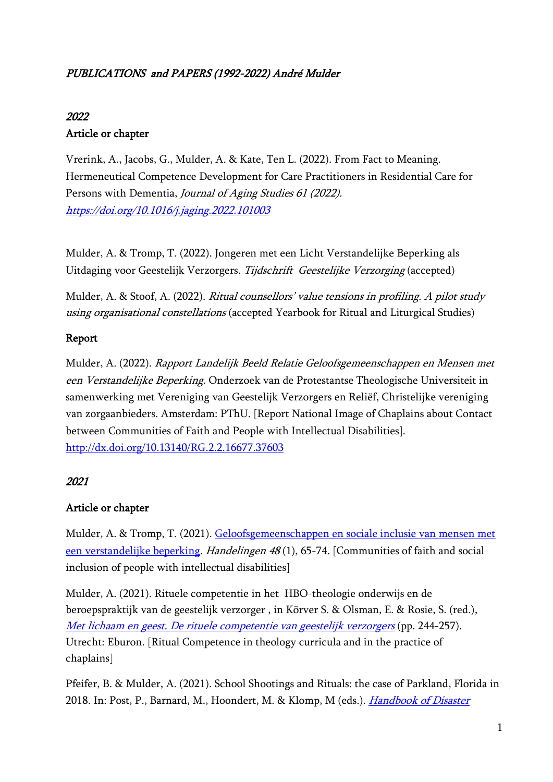# PUBLICATIONS and PAPERS (1992-2022) André Mulder

# 2022

# Article or chapter

Vrerink, A., Jacobs, G., Mulder, A. & Kate, Ten L. (2022). From Fact to Meaning. Hermeneutical Competence Development for Care Practitioners in Residential Care for Persons with Dementia, Journal of Aging Studies 61 (2022). <https://doi.org/10.1016/j.jaging.2022.101003>

Mulder, A. & Tromp, T. (2022). Jongeren met een Licht Verstandelijke Beperking als Uitdaging voor Geestelijk Verzorgers. Tijdschrift Geestelijke Verzorging (accepted)

Mulder, A. & Stoof, A. (2022). Ritual counsellors' value tensions in profiling. A pilot study using organisational constellations (accepted Yearbook for Ritual and Liturgical Studies)

# Report

Mulder, A. (2022). Rapport Landelijk Beeld Relatie Geloofsgemeenschappen en Mensen met een Verstandelijke Beperking. Onderzoek van de Protestantse Theologische Universiteit in samenwerking met Vereniging van Geestelijk Verzorgers en Reliëf, Christelijke vereniging van zorgaanbieders. Amsterdam: PThU. [Report National Image of Chaplains about Contact between Communities of Faith and People with Intellectual Disabilities]. <http://dx.doi.org/10.13140/RG.2.2.16677.37603>

# 2021

# Article or chapter

Mulder, A. & Tromp, T. (2021). [Geloofsgemeenschappen en sociale inclusie van mensen met](https://www.theologie.nl/artikelen/geloofsgemeenschappen-en-sociale-inclusie-van-mensen-met-een-verstandelijke-beperking/)  [een verstandelijke beperking.](https://www.theologie.nl/artikelen/geloofsgemeenschappen-en-sociale-inclusie-van-mensen-met-een-verstandelijke-beperking/) Handelingen <sup>48</sup> (1), 65-74. [Communities of faith and social inclusion of people with intellectual disabilities]

Mulder, A. (2021). Rituele competentie in het HBO-theologie onderwijs en de beroepspraktijk van de geestelijk verzorger , in Körver S. & Olsman, E. & Rosie, S. (red.), Met lichaam en geest. [De rituele competentie van geestelijk verzorgers](https://www.researchgate.net/publication/355844665_Met_lichaam_en_geest_De_rituele_competentie_van_geestelijk_verzorgers) (pp. 244-257). Utrecht: Eburon. [Ritual Competence in theology curricula and in the practice of chaplains]

Pfeifer, B. & Mulder, A. (2021). School Shootings and Rituals: the case of Parkland, Florida in 2018. In: Post, P., Barnard, M., Hoondert, M. & Klomp, M (eds.). Handbook of Disaster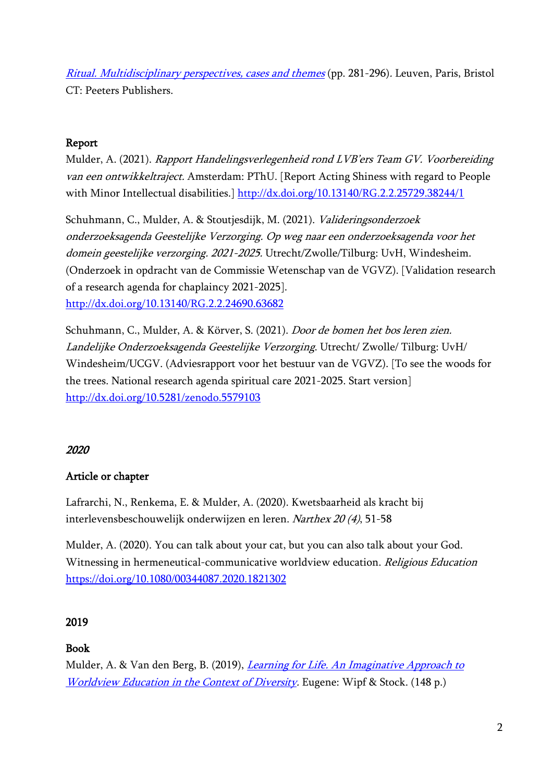[Ritual. Multidisciplinary perspectives, cases and themes](https://www.peeters-leuven.be/pdf/9789042946491.pdf) (pp. 281-296). Leuven, Paris, Bristol CT: Peeters Publishers.

### Report

Mulder, A. (2021). Rapport Handelingsverlegenheid rond LVB'ers Team GV. Voorbereiding van een ontwikkeltraject. Amsterdam: PThU. [Report Acting Shiness with regard to People with Minor Intellectual disabilities.] <http://dx.doi.org/10.13140/RG.2.2.25729.38244/1>

Schuhmann, C., Mulder, A. & Stoutjesdijk, M. (2021). Valideringsonderzoek onderzoeksagenda Geestelijke Verzorging. Op weg naar een onderzoeksagenda voor het domein geestelijke verzorging. 2021-2025. Utrecht/Zwolle/Tilburg: UvH, Windesheim. (Onderzoek in opdracht van de Commissie Wetenschap van de VGVZ). [Validation research of a research agenda for chaplaincy 2021-2025]. <http://dx.doi.org/10.13140/RG.2.2.24690.63682>

Schuhmann, C., Mulder, A. & Körver, S. (2021). Door de bomen het bos leren zien. Landelijke Onderzoeksagenda Geestelijke Verzorging. Utrecht/ Zwolle/ Tilburg: UvH/ Windesheim/UCGV. (Adviesrapport voor het bestuur van de VGVZ). [To see the woods for the trees. National research agenda spiritual care 2021-2025. Start version] <http://dx.doi.org/10.5281/zenodo.5579103>

# 2020

#### Article or chapter

Lafrarchi, N., Renkema, E. & Mulder, A. (2020). Kwetsbaarheid als kracht bij interlevensbeschouwelijk onderwijzen en leren. Narthex 20 (4), 51-58

Mulder, A. (2020). You can talk about your cat, but you can also talk about your God. Witnessing in hermeneutical-communicative worldview education. Religious Education <https://doi.org/10.1080/00344087.2020.1821302>

#### 2019

#### Book

Mulder, A. & Van den Berg, B. (2019), [Learning for Life. An Imaginative Approach to](https://wipfandstock.com/9781532676864/learning-for-life/) [Worldview Education in the Context of Diversity.](https://wipfandstock.com/9781532676864/learning-for-life/) Eugene: Wipf & Stock. (148 p.)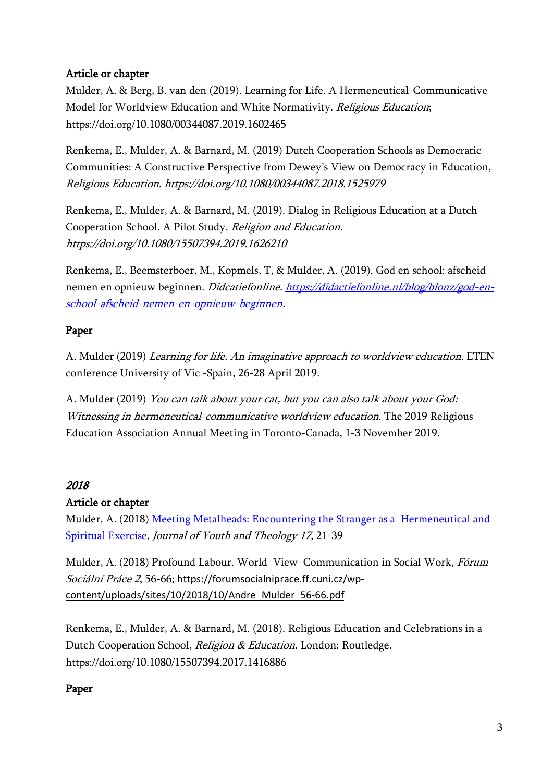### Article or chapter

Mulder, A. & Berg, B. van den (2019). Learning for Life. A Hermeneutical-Communicative Model for Worldview Education and White Normativity. Religious Education; <https://doi.org/10.1080/00344087.2019.1602465>

Renkema, E., Mulder, A. & Barnard, M. (2019) Dutch Cooperation Schools as Democratic Communities: A Constructive Perspective from Dewey's View on Democracy in Education, Religious Education.<https://doi.org/10.1080/00344087.2018.1525979>

Renkema, E., Mulder, A. & Barnard, M. (2019). Dialog in Religious Education at a Dutch Cooperation School. A Pilot Study. Religion and Education. <https://doi.org/10.1080/15507394.2019.1626210>

Renkema, E., Beemsterboer, M., Kopmels, T, & Mulder, A. (2019). God en school: afscheid nemen en opnieuw beginnen. Didcatiefonline. [https://didactiefonline.nl/blog/blonz/god-en](https://didactiefonline.nl/blog/blonz/god-en-school-afscheid-nemen-en-opnieuw-beginnen)[school-afscheid-nemen-en-opnieuw-beginnen.](https://didactiefonline.nl/blog/blonz/god-en-school-afscheid-nemen-en-opnieuw-beginnen)

### Paper

A. Mulder (2019) Learning for life. An imaginative approach to worldview education. ETEN conference University of Vic -Spain, 26-28 April 2019.

A. Mulder (2019) You can talk about your cat, but you can also talk about your God: Witnessing in hermeneutical-communicative worldview education. The 2019 Religious Education Association Annual Meeting in Toronto-Canada, 1-3 November 2019.

# 2018

#### Article or chapter

Mulder, A. (2018) [Meeting Metalheads: Encountering the Stranger as a Hermeneutical and](https://brill.com/view/journals/jyt/17/1/article-p21_21.xml)  [Spiritual Exercise,](https://brill.com/view/journals/jyt/17/1/article-p21_21.xml) Journal of Youth and Theology 17, 21-39

Mulder, A. (2018) Profound Labour. World View Communication in Social Work, Fórum Sociální Práce 2, 56-66; [https://forumsocialniprace.ff.cuni.cz/wp](https://forumsocialniprace.ff.cuni.cz/wp-content/uploads/sites/10/2018/10/Andre_Mulder_56-66.pdf)[content/uploads/sites/10/2018/10/Andre\\_Mulder\\_56-66.pdf](https://forumsocialniprace.ff.cuni.cz/wp-content/uploads/sites/10/2018/10/Andre_Mulder_56-66.pdf)

Renkema, E., Mulder, A. & Barnard, M. (2018). Religious Education and Celebrations in a Dutch Cooperation School, Religion & Education. London: Routledge. <https://doi.org/10.1080/15507394.2017.1416886>

# Paper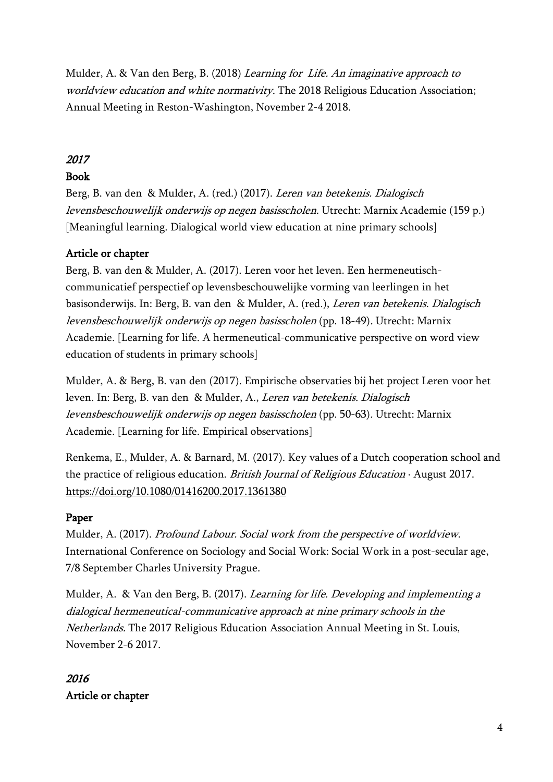Mulder, A. & Van den Berg, B. (2018) Learning for Life. An imaginative approach to worldview education and white normativity. The 2018 Religious Education Association; Annual Meeting in Reston-Washington, November 2-4 2018.

### 2017

#### Book

Berg, B. van den & Mulder, A. (red.) (2017). Leren van betekenis. Dialogisch levensbeschouwelijk onderwijs op negen basisscholen. Utrecht: Marnix Academie (159 p.) [Meaningful learning. Dialogical world view education at nine primary schools]

#### Article or chapter

Berg, B. van den & Mulder, A. (2017). Leren voor het leven. Een hermeneutischcommunicatief perspectief op levensbeschouwelijke vorming van leerlingen in het basisonderwijs. In: Berg, B. van den & Mulder, A. (red.), Leren van betekenis. Dialogisch levensbeschouwelijk onderwijs op negen basisscholen (pp. 18-49). Utrecht: Marnix Academie. [Learning for life. A hermeneutical-communicative perspective on word view education of students in primary schools]

Mulder, A. & Berg, B. van den (2017). Empirische observaties bij het project Leren voor het leven. In: Berg, B. van den & Mulder, A., Leren van betekenis. Dialogisch levensbeschouwelijk onderwijs op negen basisscholen (pp. 50-63). Utrecht: Marnix Academie. [Learning for life. Empirical observations]

Renkema, E., Mulder, A. & Barnard, M. (2017). Key values of a Dutch cooperation school and the practice of religious education. British Journal of Religious Education · August 2017. <https://doi.org/10.1080/01416200.2017.1361380>

#### Paper

Mulder, A. (2017). Profound Labour. Social work from the perspective of worldview. International Conference on Sociology and Social Work: Social Work in a post-secular age, 7/8 September Charles University Prague.

Mulder, A. & Van den Berg, B. (2017). Learning for life. Developing and implementing a dialogical hermeneutical-communicative approach at nine primary schools in the Netherlands. The 2017 Religious Education Association Annual Meeting in St. Louis, November 2-6 2017.

# 2016 Article or chapter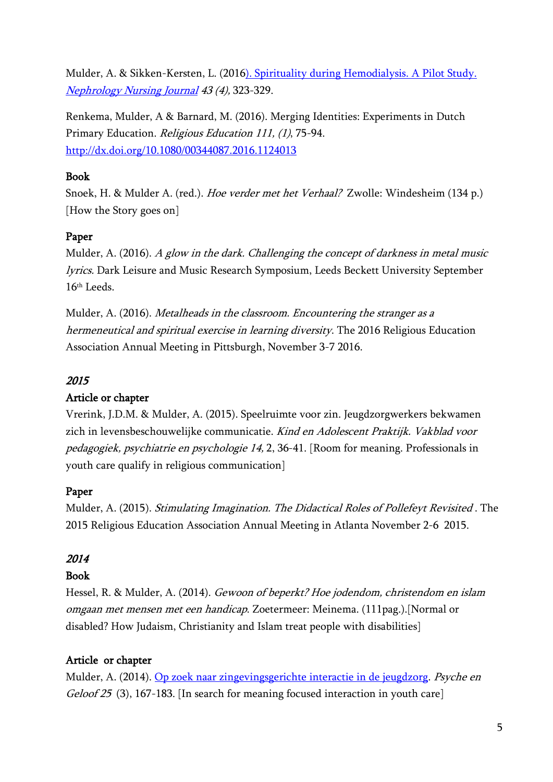Mulder, A. & Sikken-Kersten, L. (2016). Spirituality during Hemodialysis. A Pilot Study. [Nephrology Nursing Journal](https://library.annanurse.org/anna/articles/1310/view) 43 (4), 323-329.

Renkema, Mulder, A & Barnard, M. (2016). Merging Identities: Experiments in Dutch Primary Education. Religious Education 111, (1), 75-94. <http://dx.doi.org/10.1080/00344087.2016.1124013>

#### Book

Snoek, H. & Mulder A. (red.). Hoe verder met het Verhaal? Zwolle: Windesheim (134 p.) [How the Story goes on]

# Paper

Mulder, A. (2016). A glow in the dark. Challenging the concept of darkness in metal music lyrics. Dark Leisure and Music Research Symposium, Leeds Beckett University September 16th Leeds.

Mulder, A. (2016). Metalheads in the classroom. Encountering the stranger as a hermeneutical and spiritual exercise in learning diversity. The 2016 Religious Education Association Annual Meeting in Pittsburgh, November 3-7 2016.

# 2015

# Article or chapter

Vrerink, J.D.M. & Mulder, A. (2015). Speelruimte voor zin. Jeugdzorgwerkers bekwamen zich in levensbeschouwelijke communicatie. Kind en Adolescent Praktijk. Vakblad voor pedagogiek, psychiatrie en psychologie 14, 2, 36-41. [Room for meaning. Professionals in youth care qualify in religious communication]

# Paper

Mulder, A. (2015). Stimulating Imagination. The Didactical Roles of Pollefeyt Revisited . The 2015 Religious Education Association Annual Meeting in Atlanta November 2-6 2015.

# 2014

# Book

Hessel, R. & Mulder, A. (2014). [Gewoon of beperkt? Hoe jodendom, christendom en islam](http://www.uitgeverijmeinema.nl/shop.php?sField=topSearch&filter2=&filter1=alles&topSearch=gewoon+of+beperkt)  [omgaan met mensen met een](http://www.uitgeverijmeinema.nl/shop.php?sField=topSearch&filter2=&filter1=alles&topSearch=gewoon+of+beperkt) handicap. Zoetermeer: Meinema. (111pag.).[Normal or disabled? How Judaism, Christianity and Islam treat people with disabilities]

# Article or chapter

Mulder, A. (2014). [Op zoek naar zingevingsgerichte interactie in de jeugdzorg.](https://www.psychegeloof.nl/editions/psyche-geloof-25-2014-3) Psyche en Geloof 25 (3), 167-183. [In search for meaning focused interaction in youth care]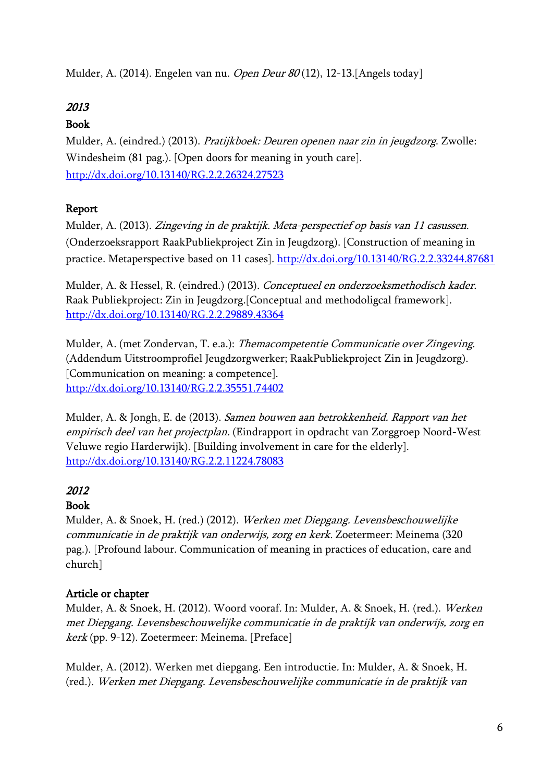Mulder, A. (2014). Engelen van nu. *Open Deur 80* (12), 12-13.[Angels today]

# 2013

# Book

Mulder, A. (eindred.) (2013). Pratijkboek: Deuren openen naar zin in jeugdzorg. Zwolle: Windesheim (81 pag.). [Open doors for meaning in youth care]. <http://dx.doi.org/10.13140/RG.2.2.26324.27523>

# Report

Mulder, A. (2013). Zingeving in de praktijk. Meta-perspectief op basis van 11 casussen. (Onderzoeksrapport RaakPubliekproject Zin in Jeugdzorg). [Construction of meaning in practice. Metaperspective based on 11 cases].<http://dx.doi.org/10.13140/RG.2.2.33244.87681>

Mulder, A. & Hessel, R. (eindred.) (2013). Conceptueel en onderzoeksmethodisch kader. Raak Publiekproject: Zin in Jeugdzorg.[Conceptual and methodoligcal framework]. <http://dx.doi.org/10.13140/RG.2.2.29889.43364>

Mulder, A. (met Zondervan, T. e.a.): Themacompetentie Communicatie over Zingeving. (Addendum Uitstroomprofiel Jeugdzorgwerker; RaakPubliekproject Zin in Jeugdzorg). [Communication on meaning: a competence]. <http://dx.doi.org/10.13140/RG.2.2.35551.74402>

Mulder, A. & Jongh, E. de (2013). Samen bouwen aan betrokkenheid. Rapport van het empirisch deel van het projectplan. (Eindrapport in opdracht van Zorggroep Noord-West Veluwe regio Harderwijk). [Building involvement in care for the elderly]. <http://dx.doi.org/10.13140/RG.2.2.11224.78083>

# 2012

# Book

Mulder, A. & Snoek, H. (red.) (2012). Werken met Diepgang. Levensbeschouwelijke communicatie in de praktijk van onderwijs, zorg en kerk. Zoetermeer: Meinema (320 pag.). [Profound labour. Communication of meaning in practices of education, care and church]

# Article or chapter

Mulder, A. & Snoek, H. (2012). Woord vooraf. In: Mulder, A. & Snoek, H. (red.). Werken met Diepgang. Levensbeschouwelijke communicatie in de praktijk van onderwijs, zorg en kerk (pp. 9-12). Zoetermeer: Meinema. [Preface]

Mulder, A. (2012). Werken met diepgang. Een introductie. In: Mulder, A. & Snoek, H. (red.). Werken met Diepgang. Levensbeschouwelijke communicatie in de praktijk van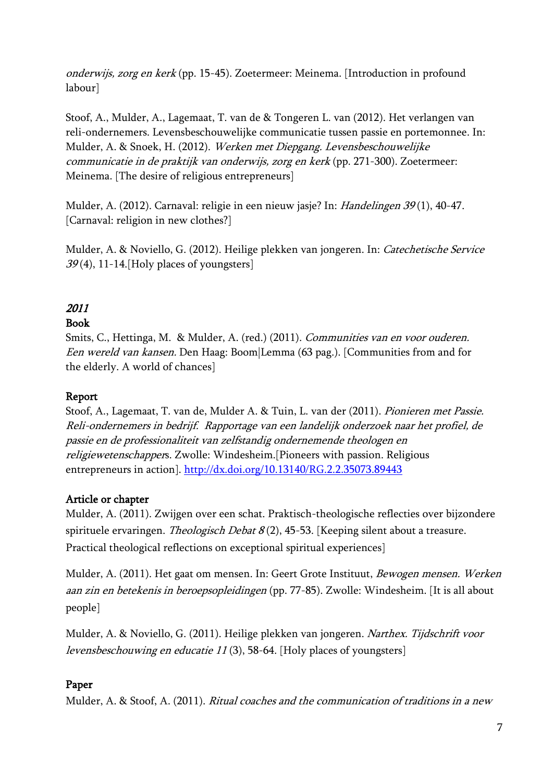onderwijs, zorg en kerk (pp. 15-45). Zoetermeer: Meinema. [Introduction in profound labour]

Stoof, A., Mulder, A., Lagemaat, T. van de & Tongeren L. van (2012). Het verlangen van reli-ondernemers. Levensbeschouwelijke communicatie tussen passie en portemonnee. In: Mulder, A. & Snoek, H. (2012). Werken met Diepgang. Levensbeschouwelijke communicatie in de praktijk van onderwijs, zorg en kerk (pp. 271-300). Zoetermeer: Meinema. [The desire of religious entrepreneurs]

Mulder, A. (2012). Carnaval: religie in een nieuw jasje? In: Handelingen 39 (1), 40-47. [Carnaval: religion in new clothes?]

Mulder, A. & Noviello, G. (2012). Heilige plekken van jongeren. In: Catechetische Service  $39(4)$ , 11-14. [Holy places of youngsters]

# 2011

# Book

Smits, C., Hettinga, M. & Mulder, A. (red.) (2011). Communities van en voor ouderen. Een wereld van kansen. Den Haag: Boom|Lemma (63 pag.). [Communities from and for the elderly. A world of chances]

#### Report

Stoof, A., Lagemaat, T. van de, Mulder A. & Tuin, L. van der (2011). Pionieren met Passie. Reli-ondernemers in bedrijf. Rapportage van een landelijk onderzoek naar het profiel, de passie en de professionaliteit van zelfstandig ondernemende theologen en religiewetenschappers. Zwolle: Windesheim.[Pioneers with passion. Religious entrepreneurs in action].<http://dx.doi.org/10.13140/RG.2.2.35073.89443>

# Article or chapter

Mulder, A. (2011). Zwijgen over een schat. Praktisch-theologische reflecties over bijzondere spirituele ervaringen. *Theologisch Debat 8* (2), 45-53. [Keeping silent about a treasure. Practical theological reflections on exceptional spiritual experiences]

Mulder, A. (2011). Het gaat om mensen. In: Geert Grote Instituut, Bewogen mensen. Werken aan zin en betekenis in beroepsopleidingen (pp. 77-85). Zwolle: Windesheim. [It is all about people]

Mulder, A. & Noviello, G. (2011). Heilige plekken van jongeren. Narthex. Tijdschrift voor levensbeschouwing en educatie 11 (3), 58-64. [Holy places of youngsters]

#### Paper

Mulder, A. & Stoof, A. (2011). Ritual coaches and the communication of traditions in a new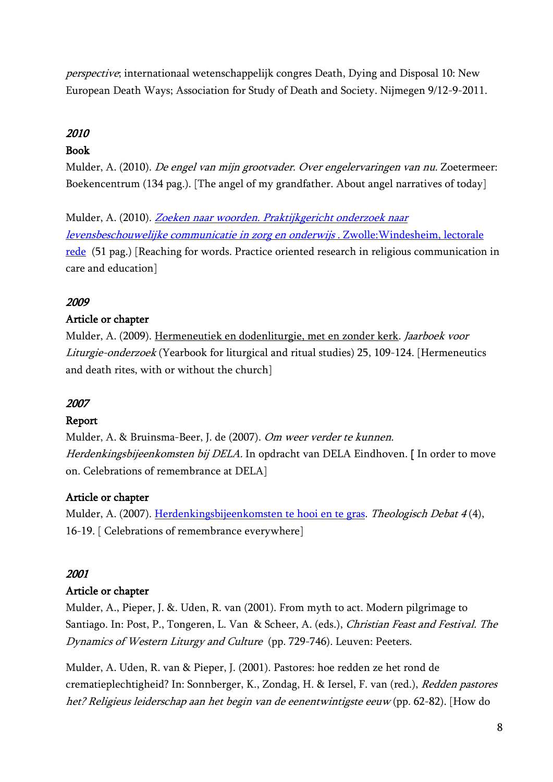perspective; internationaal wetenschappelijk congres Death, Dying and Disposal 10: New European Death Ways; Association for Study of Death and Society. Nijmegen 9/12-9-2011.

# 2010

### Book

Mulder, A. (2010). De engel van mijn grootvader. Over engelervaringen van nu. Zoetermeer: Boekencentrum (134 pag.). [The angel of my grandfather. About angel narratives of today]

Mulder, A. (2010). [Zoeken naar woorden. Praktijkgericht onderzoek naar](https://www.researchgate.net/publication/360676883_Zoeken_naar_woorden_Praktijkgericht_onderzoek_naar_levensbeschouwelijke_communicatie_in_zorg_en_onderwijs_W_I_N_D_E_S_H_E_I_M_R_E_E_K_S_K_E_N_N_I_S_E_N_O_N_D_E_R_Z_O_E_K)  [levensbeschouwelijke communicatie in zorg en onderwijs .](https://www.researchgate.net/publication/360676883_Zoeken_naar_woorden_Praktijkgericht_onderzoek_naar_levensbeschouwelijke_communicatie_in_zorg_en_onderwijs_W_I_N_D_E_S_H_E_I_M_R_E_E_K_S_K_E_N_N_I_S_E_N_O_N_D_E_R_Z_O_E_K) Zwolle:Windesheim, lectorale [rede](https://www.researchgate.net/publication/360676883_Zoeken_naar_woorden_Praktijkgericht_onderzoek_naar_levensbeschouwelijke_communicatie_in_zorg_en_onderwijs_W_I_N_D_E_S_H_E_I_M_R_E_E_K_S_K_E_N_N_I_S_E_N_O_N_D_E_R_Z_O_E_K) (51 pag.) [Reaching for words. Practice oriented research in religious communication in care and education]

### 2009

#### Article or chapter

Mulder, A. (2009). [Hermeneutiek en dodenliturgie, met en zonder kerk.](http://rjh.ub.rug.nl/jvlo/article/view/4264) Jaarboek voor Liturgie-onderzoek (Yearbook for liturgical and ritual studies) 25, 109-124. [Hermeneutics and death rites, with or without the church]

#### 2007

#### Report

Mulder, A. & Bruinsma-Beer, J. de (2007). Om weer verder te kunnen. Herdenkingsbijeenkomsten bij DELA. In opdracht van DELA Eindhoven. [In order to move on. Celebrations of remembrance at DELA]

# Article or chapter

Mulder, A. (2007). [Herdenkingsbijeenkomsten te hooi en te gras.](https://www.lucepedia.nl/lucepedia/static/images/v1/theologischdebat/2007-4_3_herdenkingsbijeenkomsten_te_hooi_en_te_gras.pdf) Theologisch Debat 4 (4), 16-19. [ Celebrations of remembrance everywhere]

#### 2001

#### Article or chapter

Mulder, A., Pieper, J. &. Uden, R. van (2001). From myth to act. Modern pilgrimage to Santiago. In: Post, P., Tongeren, L. Van & Scheer, A. (eds.), Christian Feast and Festival. The Dynamics of Western Liturgy and Culture (pp. 729-746). Leuven: Peeters.

Mulder, A. Uden, R. van & Pieper, J. (2001). Pastores: hoe redden ze het rond de crematieplechtigheid? In: Sonnberger, K., Zondag, H. & Iersel, F. van (red.), Redden pastores het? Religieus leiderschap aan het begin van de eenentwintigste eeuw (pp. 62-82). [How do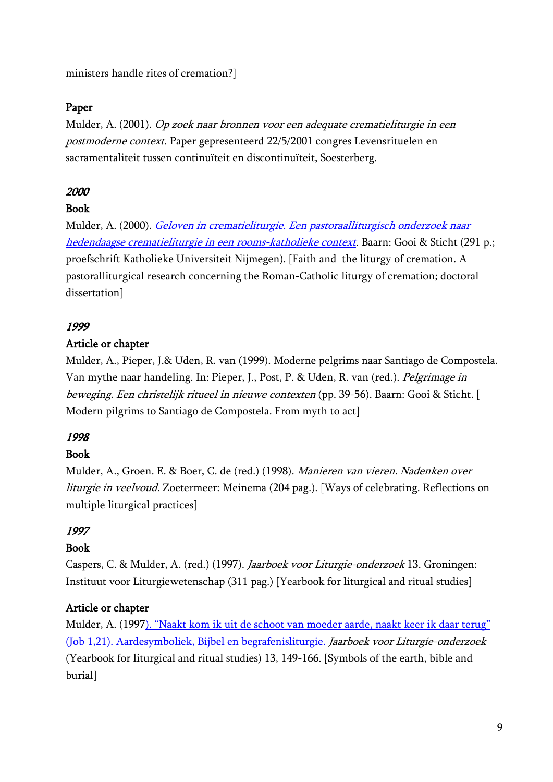ministers handle rites of cremation?]

#### Paper

Mulder, A. (2001). Op zoek naar bronnen voor een adequate crematieliturgie in een postmoderne context. Paper gepresenteerd 22/5/2001 congres Levensrituelen en sacramentaliteit tussen continuïteit en discontinuïteit, Soesterberg.

#### 2000

#### Book

Mulder, A. (2000). Geloven in crematieliturgie. Een pastoraalliturgisch onderzoek naar [hedendaagse crematieliturgie in een rooms-katholieke context.](https://repository.ubn.ru.nl/bitstream/handle/2066/118975/118975.pdf?sequence=1&isAllowed=y) Baarn: Gooi & Sticht (291 p.; proefschrift Katholieke Universiteit Nijmegen). [Faith and the liturgy of cremation. A pastoralliturgical research concerning the Roman-Catholic liturgy of cremation; doctoral dissertation]

#### 1999

#### Article or chapter

Mulder, A., Pieper, J.& Uden, R. van (1999). Moderne pelgrims naar Santiago de Compostela. Van mythe naar handeling. In: Pieper, J., Post, P. & Uden, R. van (red.). Pelgrimage in beweging. Een christelijk ritueel in nieuwe contexten (pp. 39-56). Baarn: Gooi & Sticht. [ Modern pilgrims to Santiago de Compostela. From myth to act]

#### 1998

#### Book

Mulder, A., Groen. E. & Boer, C. de (red.) (1998). Manieren van vieren. Nadenken over liturgie in veelvoud. Zoetermeer: Meinema (204 pag.). [Ways of celebrating. Reflections on multiple liturgical practices]

#### 1997

#### Book

Caspers, C. & Mulder, A. (red.) (1997). Jaarboek voor Liturgie-onderzoek 13. Groningen: Instituut voor Liturgiewetenschap (311 pag.) [Yearbook for liturgical and ritual studies]

#### Article or chapter

Mulder, A. (1997). "Naakt kom ik uit de [schoot van moeder aarde, naakt keer ik daar terug"](https://ugp.rug.nl/jvlo/article/view/38383)  [\(Job 1,21\). Aardesymboliek, Bijbel en begrafenisliturgie.](https://ugp.rug.nl/jvlo/article/view/38383) Jaarboek voor Liturgie-onderzoek (Yearbook for liturgical and ritual studies) 13, 149-166. [Symbols of the earth, bible and burial]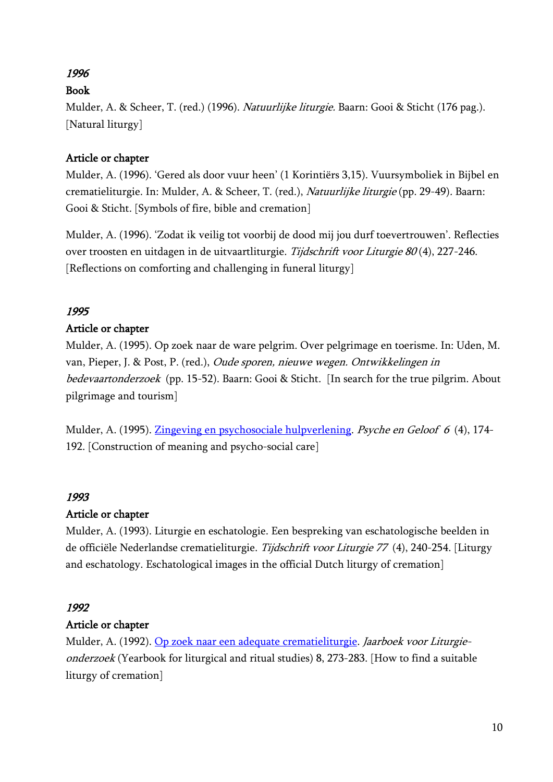# 1996

# Book

Mulder, A. & Scheer, T. (red.) (1996). Natuurlijke liturgie. Baarn: Gooi & Sticht (176 pag.). [Natural liturgy]

# Article or chapter

Mulder, A. (1996). 'Gered als door vuur heen' (1 Korintiërs 3,15). Vuursymboliek in Bijbel en crematieliturgie. In: Mulder, A. & Scheer, T. (red.), Natuurlijke liturgie (pp. 29-49). Baarn: Gooi & Sticht. [Symbols of fire, bible and cremation]

Mulder, A. (1996). 'Zodat ik veilig tot voorbij de dood mij jou durf toevertrouwen'. Reflecties over troosten en uitdagen in de uitvaartliturgie. Tijdschrift voor Liturgie 80 (4), 227-246. [Reflections on comforting and challenging in funeral liturgy]

# 1995

# Article or chapter

Mulder, A. (1995). Op zoek naar de ware pelgrim. Over pelgrimage en toerisme. In: Uden, M. van, Pieper, J. & Post, P. (red.), Oude sporen, nieuwe wegen. Ontwikkelingen in bedevaartonderzoek (pp. 15-52). Baarn: Gooi & Sticht. [In search for the true pilgrim. About pilgrimage and tourism]

Mulder, A. (1995). [Zingeving en psychosociale hulpverlening.](https://www.psychegeloof.nl/editions/psyche-geloof-6-1995-4) Psyche en Geloof 6 (4), 174- 192. [Construction of meaning and psycho-social care]

# 1993

# Article or chapter

Mulder, A. (1993). Liturgie en eschatologie. Een bespreking van eschatologische beelden in de officiële Nederlandse crematieliturgie. Tijdschrift voor Liturgie 77 (4), 240-254. [Liturgy and eschatology. Eschatological images in the official Dutch liturgy of cremation]

# 1992

# Article or chapter

Mulder, A. (1992). [Op zoek naar een adequate](https://www.google.com/url?sa=t&rct=j&q=&esrc=s&source=web&cd=&ved=2ahUKEwjOu8ehyej3AhUHuaQKHSh1DMEQFnoECA8QAQ&url=https%3A%2F%2Fugp.rug.nl%2Fjvlo%2Farticle%2Fdownload%2F38496%2F36064&usg=AOvVaw1SaHaDzLqiPCY5dw3OeGMy) crematieliturgie. Jaarboek voor Liturgieonderzoek (Yearbook for liturgical and ritual studies) 8, 273-283. [How to find a suitable liturgy of cremation]